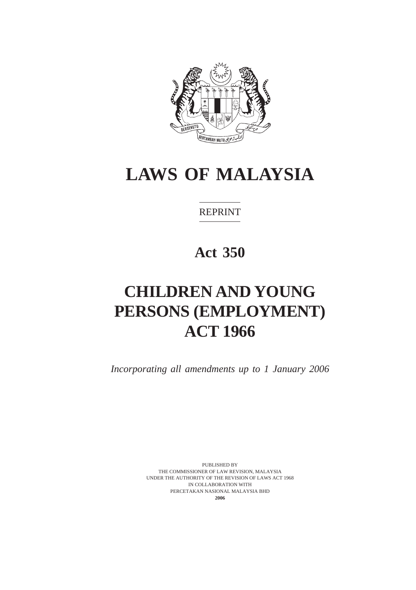

REPRINT

**Act 350**

# **CHILDREN AND YOUNG PERSONS (EMPLOYMENT) ACT 1966**

*Incorporating all amendments up to 1 January 2006*

PUBLISHED BY THE COMMISSIONER OF LAW REVISION, MALAYSIA UNDER THE AUTHORITY OF THE REVISION OF LAWS ACT 1968 IN COLLABORATION WITH PERCETAKAN NASIONAL MALAYSIA BHD **2006**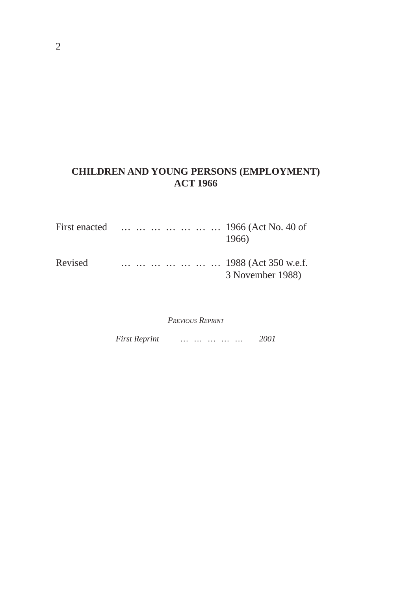# **CHILDREN AND YOUNG PERSONS (EMPLOYMENT) ACT 1966**

| First enacted | 1966 (Act No. 40 of<br>1966)             |
|---------------|------------------------------------------|
| Revised       | 1988 (Act 350 w.e.f.<br>3 November 1988) |

*PREVIOUS REPRINT*

*First Reprint … … … … … 2001*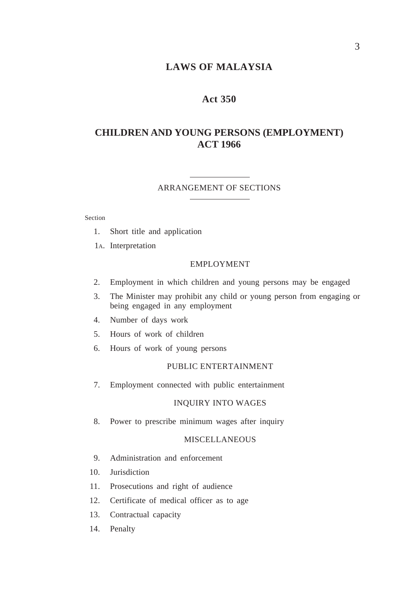### **Act 350**

# **CHILDREN AND YOUNG PERSONS (EMPLOYMENT) ACT 1966**

#### ARRANGEMENT OF SECTIONS

Section

- 1. Short title and application
- 1A. Interpretation

### EMPLOYMENT

- 2. Employment in which children and young persons may be engaged
- 3. The Minister may prohibit any child or young person from engaging or being engaged in any employment
- 4. Number of days work
- 5. Hours of work of children
- 6. Hours of work of young persons

#### PUBLIC ENTERTAINMENT

7. Employment connected with public entertainment

### INQUIRY INTO WAGES

8. Power to prescribe minimum wages after inquiry

### **MISCELLANEOUS**

- 9. Administration and enforcement
- 10. Jurisdiction
- 11. Prosecutions and right of audience
- 12. Certificate of medical officer as to age
- 13. Contractual capacity
- 14. Penalty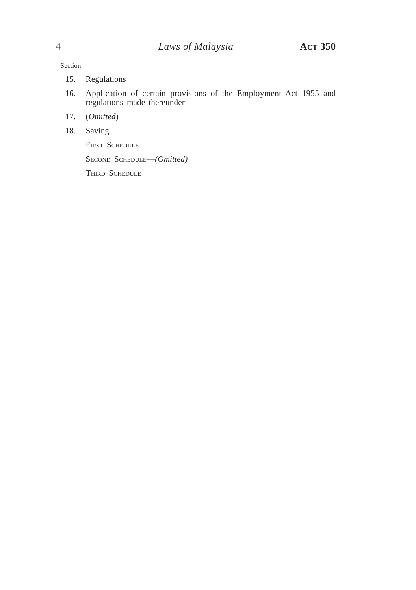Section

- 15. Regulations
- 16. Application of certain provisions of the Employment Act 1955 and regulations made thereunder
- 17. (*Omitted*)
- 18. Saving

FIRST SCHEDULE

SECOND SCHEDULE—*(Omitted)*

THIRD SCHEDULE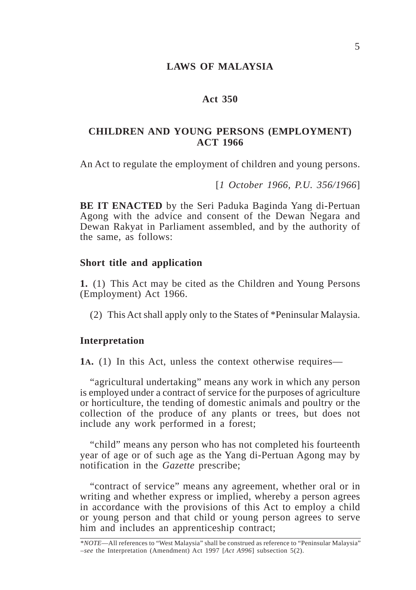### **Act 350**

### **CHILDREN AND YOUNG PERSONS (EMPLOYMENT) ACT 1966**

An Act to regulate the employment of children and young persons.

[*1 October 1966, P.U. 356/1966*]

**BE IT ENACTED** by the Seri Paduka Baginda Yang di-Pertuan Agong with the advice and consent of the Dewan Negara and Dewan Rakyat in Parliament assembled, and by the authority of the same, as follows:

### **Short title and application**

**1.** (1) This Act may be cited as the Children and Young Persons (Employment) Act 1966.

(2) This Act shall apply only to the States of \*Peninsular Malaysia.

### **Interpretation**

**1A.** (1) In this Act, unless the context otherwise requires—

"agricultural undertaking" means any work in which any person is employed under a contract of service for the purposes of agriculture or horticulture, the tending of domestic animals and poultry or the collection of the produce of any plants or trees, but does not include any work performed in a forest;

"child" means any person who has not completed his fourteenth year of age or of such age as the Yang di-Pertuan Agong may by notification in the *Gazette* prescribe;

"contract of service" means any agreement, whether oral or in writing and whether express or implied, whereby a person agrees in accordance with the provisions of this Act to employ a child or young person and that child or young person agrees to serve him and includes an apprenticeship contract;

<sup>\*</sup>*NOTE*—All references to "West Malaysia" shall be construed as reference to "Peninsular Malaysia" –*see* the Interpretation (Amendment) Act 1997 [*Act A996*] subsection 5(2).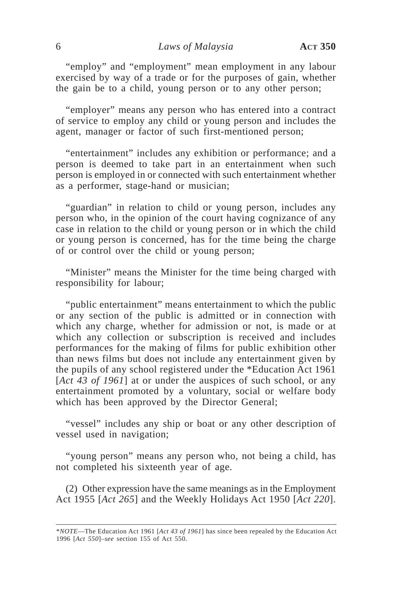"employ" and "employment" mean employment in any labour exercised by way of a trade or for the purposes of gain, whether the gain be to a child, young person or to any other person;

"employer" means any person who has entered into a contract of service to employ any child or young person and includes the agent, manager or factor of such first-mentioned person;

"entertainment" includes any exhibition or performance; and a person is deemed to take part in an entertainment when such person is employed in or connected with such entertainment whether as a performer, stage-hand or musician;

"guardian" in relation to child or young person, includes any person who, in the opinion of the court having cognizance of any case in relation to the child or young person or in which the child or young person is concerned, has for the time being the charge of or control over the child or young person;

"Minister" means the Minister for the time being charged with responsibility for labour;

"public entertainment" means entertainment to which the public or any section of the public is admitted or in connection with which any charge, whether for admission or not, is made or at which any collection or subscription is received and includes performances for the making of films for public exhibition other than news films but does not include any entertainment given by the pupils of any school registered under the \*Education Act 1961 [*Act 43 of 1961*] at or under the auspices of such school, or any entertainment promoted by a voluntary, social or welfare body which has been approved by the Director General;

"vessel" includes any ship or boat or any other description of vessel used in navigation;

"young person" means any person who, not being a child, has not completed his sixteenth year of age.

(2) Other expression have the same meanings as in the Employment Act 1955 [*Act 265*] and the Weekly Holidays Act 1950 [*Act 220*].

<sup>\*</sup>*NOTE*—The Education Act 1961 [*Act 43 of 1961*] has since been repealed by the Education Act 1996 [*Act 550*]–*see* section 155 of Act 550.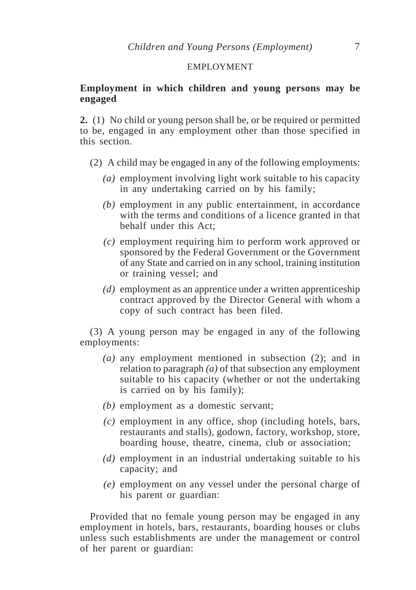### EMPLOYMENT

### **Employment in which children and young persons may be engaged**

**2.** (1) No child or young person shall be, or be required or permitted to be, engaged in any employment other than those specified in this section.

- (2) A child may be engaged in any of the following employments:
	- *(a)* employment involving light work suitable to his capacity in any undertaking carried on by his family;
	- *(b)* employment in any public entertainment, in accordance with the terms and conditions of a licence granted in that behalf under this Act;
	- *(c)* employment requiring him to perform work approved or sponsored by the Federal Government or the Government of any State and carried on in any school, training institution or training vessel; and
	- *(d)* employment as an apprentice under a written apprenticeship contract approved by the Director General with whom a copy of such contract has been filed.

(3) A young person may be engaged in any of the following employments:

- *(a)* any employment mentioned in subsection (2); and in relation to paragraph *(a)* of that subsection any employment suitable to his capacity (whether or not the undertaking is carried on by his family);
- *(b)* employment as a domestic servant;
- *(c)* employment in any office, shop (including hotels, bars, restaurants and stalls), godown, factory, workshop, store, boarding house, theatre, cinema, club or association;
- *(d)* employment in an industrial undertaking suitable to his capacity; and
- *(e)* employment on any vessel under the personal charge of his parent or guardian:

Provided that no female young person may be engaged in any employment in hotels, bars, restaurants, boarding houses or clubs unless such establishments are under the management or control of her parent or guardian: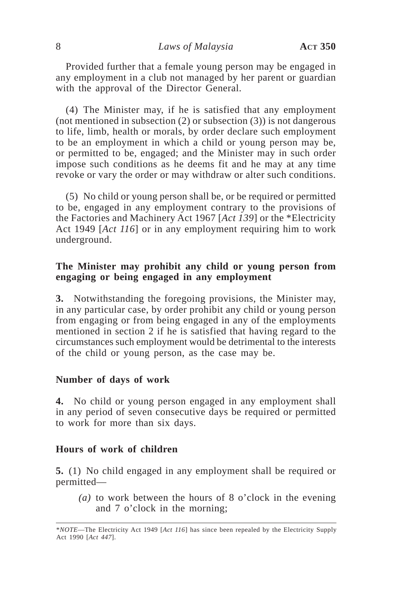Provided further that a female young person may be engaged in any employment in a club not managed by her parent or guardian with the approval of the Director General.

(4) The Minister may, if he is satisfied that any employment (not mentioned in subsection  $(2)$  or subsection  $(3)$ ) is not dangerous to life, limb, health or morals, by order declare such employment to be an employment in which a child or young person may be, or permitted to be, engaged; and the Minister may in such order impose such conditions as he deems fit and he may at any time revoke or vary the order or may withdraw or alter such conditions.

(5) No child or young person shall be, or be required or permitted to be, engaged in any employment contrary to the provisions of the Factories and Machinery Act 1967 [*Act 139*] or the \*Electricity Act 1949 [*Act 116*] or in any employment requiring him to work underground.

## **The Minister may prohibit any child or young person from engaging or being engaged in any employment**

**3.** Notwithstanding the foregoing provisions, the Minister may, in any particular case, by order prohibit any child or young person from engaging or from being engaged in any of the employments mentioned in section 2 if he is satisfied that having regard to the circumstances such employment would be detrimental to the interests of the child or young person, as the case may be.

### **Number of days of work**

**4.** No child or young person engaged in any employment shall in any period of seven consecutive days be required or permitted to work for more than six days.

### **Hours of work of children**

**5.** (1) No child engaged in any employment shall be required or permitted—

*(a)* to work between the hours of 8 o'clock in the evening and 7 o'clock in the morning;

<sup>\*</sup>*NOTE*—The Electricity Act 1949 [*Act 116*] has since been repealed by the Electricity Supply Act 1990 [*Act 447*].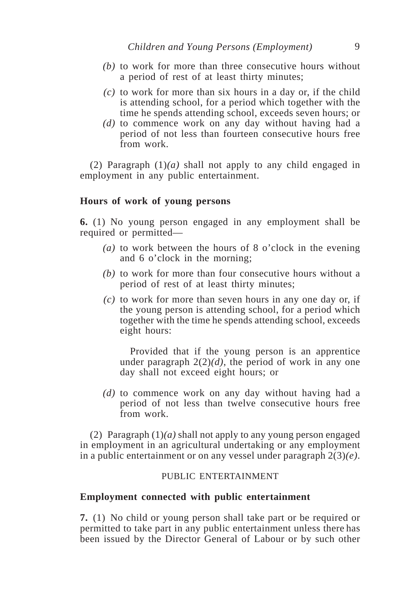- *(b)* to work for more than three consecutive hours without a period of rest of at least thirty minutes;
- *(c)* to work for more than six hours in a day or, if the child is attending school, for a period which together with the time he spends attending school, exceeds seven hours; or
- *(d)* to commence work on any day without having had a period of not less than fourteen consecutive hours free from work.

(2) Paragraph (1)*(a)* shall not apply to any child engaged in employment in any public entertainment.

### **Hours of work of young persons**

**6.** (1) No young person engaged in any employment shall be required or permitted—

- *(a)* to work between the hours of 8 o'clock in the evening and 6 o'clock in the morning;
- *(b)* to work for more than four consecutive hours without a period of rest of at least thirty minutes;
- *(c)* to work for more than seven hours in any one day or, if the young person is attending school, for a period which together with the time he spends attending school, exceeds eight hours:

Provided that if the young person is an apprentice under paragraph  $2(2)(d)$ , the period of work in any one day shall not exceed eight hours; or

*(d)* to commence work on any day without having had a period of not less than twelve consecutive hours free from work.

(2) Paragraph (1)*(a)* shall not apply to any young person engaged in employment in an agricultural undertaking or any employment in a public entertainment or on any vessel under paragraph 2(3)*(e)*.

### PUBLIC ENTERTAINMENT

### **Employment connected with public entertainment**

**7.** (1) No child or young person shall take part or be required or permitted to take part in any public entertainment unless there has been issued by the Director General of Labour or by such other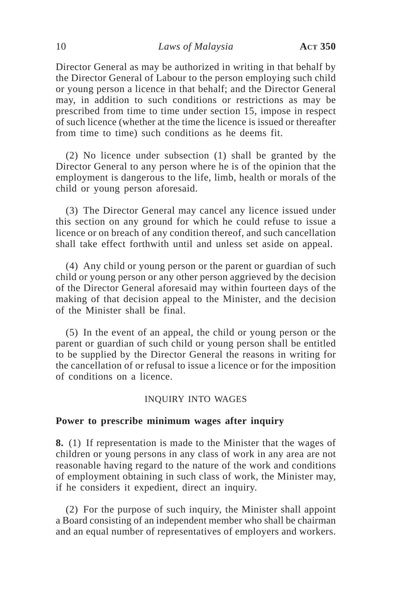Director General as may be authorized in writing in that behalf by the Director General of Labour to the person employing such child or young person a licence in that behalf; and the Director General may, in addition to such conditions or restrictions as may be prescribed from time to time under section 15, impose in respect of such licence (whether at the time the licence is issued or thereafter from time to time) such conditions as he deems fit.

(2) No licence under subsection (1) shall be granted by the Director General to any person where he is of the opinion that the employment is dangerous to the life, limb, health or morals of the child or young person aforesaid.

(3) The Director General may cancel any licence issued under this section on any ground for which he could refuse to issue a licence or on breach of any condition thereof, and such cancellation shall take effect forthwith until and unless set aside on appeal.

(4) Any child or young person or the parent or guardian of such child or young person or any other person aggrieved by the decision of the Director General aforesaid may within fourteen days of the making of that decision appeal to the Minister, and the decision of the Minister shall be final.

(5) In the event of an appeal, the child or young person or the parent or guardian of such child or young person shall be entitled to be supplied by the Director General the reasons in writing for the cancellation of or refusal to issue a licence or for the imposition of conditions on a licence.

### INQUIRY INTO WAGES

### **Power to prescribe minimum wages after inquiry**

**8.** (1) If representation is made to the Minister that the wages of children or young persons in any class of work in any area are not reasonable having regard to the nature of the work and conditions of employment obtaining in such class of work, the Minister may, if he considers it expedient, direct an inquiry.

(2) For the purpose of such inquiry, the Minister shall appoint a Board consisting of an independent member who shall be chairman and an equal number of representatives of employers and workers.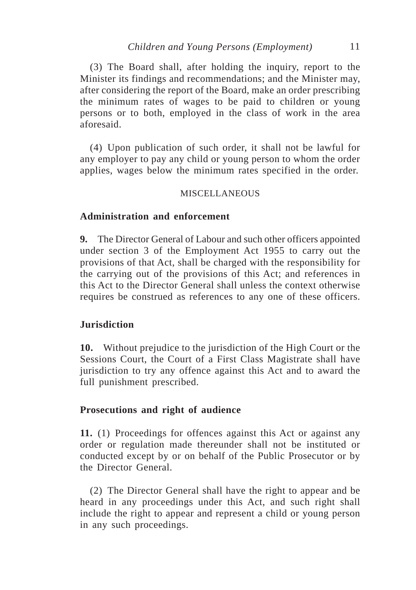(3) The Board shall, after holding the inquiry, report to the Minister its findings and recommendations; and the Minister may, after considering the report of the Board, make an order prescribing the minimum rates of wages to be paid to children or young persons or to both, employed in the class of work in the area aforesaid.

(4) Upon publication of such order, it shall not be lawful for any employer to pay any child or young person to whom the order applies, wages below the minimum rates specified in the order.

### **MISCELLANEOUS**

### **Administration and enforcement**

**9.** The Director General of Labour and such other officers appointed under section 3 of the Employment Act 1955 to carry out the provisions of that Act, shall be charged with the responsibility for the carrying out of the provisions of this Act; and references in this Act to the Director General shall unless the context otherwise requires be construed as references to any one of these officers.

### **Jurisdiction**

**10.** Without prejudice to the jurisdiction of the High Court or the Sessions Court, the Court of a First Class Magistrate shall have jurisdiction to try any offence against this Act and to award the full punishment prescribed.

### **Prosecutions and right of audience**

**11.** (1) Proceedings for offences against this Act or against any order or regulation made thereunder shall not be instituted or conducted except by or on behalf of the Public Prosecutor or by the Director General.

(2) The Director General shall have the right to appear and be heard in any proceedings under this Act, and such right shall include the right to appear and represent a child or young person in any such proceedings.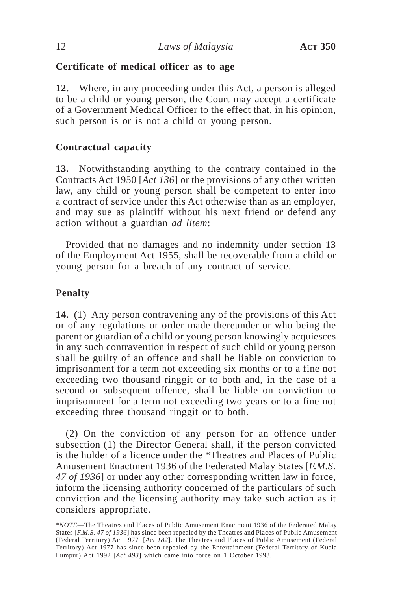# **Certificate of medical officer as to age**

**12.** Where, in any proceeding under this Act, a person is alleged to be a child or young person, the Court may accept a certificate of a Government Medical Officer to the effect that, in his opinion, such person is or is not a child or young person.

# **Contractual capacity**

**13.** Notwithstanding anything to the contrary contained in the Contracts Act 1950 [*Act 136*] or the provisions of any other written law, any child or young person shall be competent to enter into a contract of service under this Act otherwise than as an employer, and may sue as plaintiff without his next friend or defend any action without a guardian *ad litem*:

Provided that no damages and no indemnity under section 13 of the Employment Act 1955, shall be recoverable from a child or young person for a breach of any contract of service.

# **Penalty**

**14.** (1) Any person contravening any of the provisions of this Act or of any regulations or order made thereunder or who being the parent or guardian of a child or young person knowingly acquiesces in any such contravention in respect of such child or young person shall be guilty of an offence and shall be liable on conviction to imprisonment for a term not exceeding six months or to a fine not exceeding two thousand ringgit or to both and, in the case of a second or subsequent offence, shall be liable on conviction to imprisonment for a term not exceeding two years or to a fine not exceeding three thousand ringgit or to both.

(2) On the conviction of any person for an offence under subsection (1) the Director General shall, if the person convicted is the holder of a licence under the \*Theatres and Places of Public Amusement Enactment 1936 of the Federated Malay States [*F.M.S. 47 of 1936*] or under any other corresponding written law in force, inform the licensing authority concerned of the particulars of such conviction and the licensing authority may take such action as it considers appropriate.

<sup>\*</sup>*NOTE*—The Theatres and Places of Public Amusement Enactment 1936 of the Federated Malay States [*F.M.S. 47 of 1936*] has since been repealed by the Theatres and Places of Public Amusement (Federal Territory) Act 1977 [*Act 182*]. The Theatres and Places of Public Amusement (Federal Territory) Act 1977 has since been repealed by the Entertainment (Federal Territory of Kuala Lumpur) Act 1992 [*Act 493*] which came into force on 1 October 1993.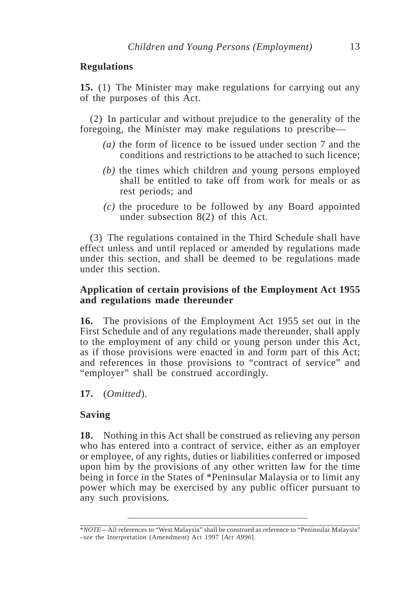## **Regulations**

**15.** (1) The Minister may make regulations for carrying out any of the purposes of this Act.

(2) In particular and without prejudice to the generality of the foregoing, the Minister may make regulations to prescribe—

- *(a)* the form of licence to be issued under section 7 and the conditions and restrictions to be attached to such licence;
- *(b)* the times which children and young persons employed shall be entitled to take off from work for meals or as rest periods; and
- *(c)* the procedure to be followed by any Board appointed under subsection 8(2) of this Act.

(3) The regulations contained in the Third Schedule shall have effect unless and until replaced or amended by regulations made under this section, and shall be deemed to be regulations made under this section.

## **Application of certain provisions of the Employment Act 1955 and regulations made thereunder**

**16.** The provisions of the Employment Act 1955 set out in the First Schedule and of any regulations made thereunder, shall apply to the employment of any child or young person under this Act, as if those provisions were enacted in and form part of this Act; and references in those provisions to "contract of service" and "employer" shall be construed accordingly.

**17.** (*Omitted*).

# **Saving**

**18.** Nothing in this Act shall be construed as relieving any person who has entered into a contract of service, either as an employer or employee, of any rights, duties or liabilities conferred or imposed upon him by the provisions of any other written law for the time being in force in the States of \*Peninsular Malaysia or to limit any power which may be exercised by any public officer pursuant to any such provisions.

<sup>\*</sup>*NOTE*—All references to "West Malaysia" shall be construed as reference to "Peninsular Malaysia" –*see* the Interpretation (Amendment) Act 1997 [*Act A996*].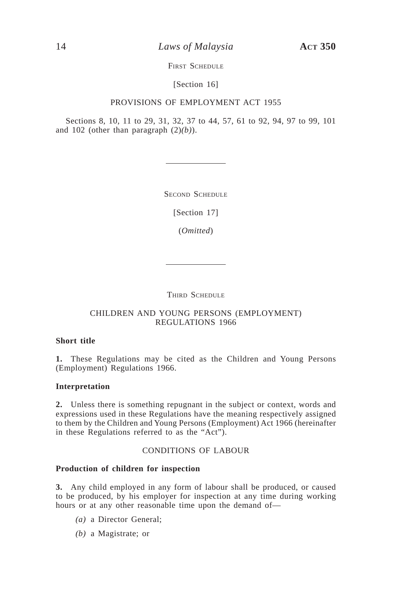14 *Laws of Malaysia* **ACT 350**

FIRST SCHEDULE

[Section 16]

### PROVISIONS OF EMPLOYMENT ACT 1955

Sections 8, 10, 11 to 29, 31, 32, 37 to 44, 57, 61 to 92, 94, 97 to 99, 101 and 102 (other than paragraph (2)*(b)*).

SECOND SCHEDULE

[Section 17]

(*Omitted*)

THIRD SCHEDULE

### CHILDREN AND YOUNG PERSONS (EMPLOYMENT) REGULATIONS 1966

### **Short title**

**1.** These Regulations may be cited as the Children and Young Persons (Employment) Regulations 1966.

### **Interpretation**

**2.** Unless there is something repugnant in the subject or context, words and expressions used in these Regulations have the meaning respectively assigned to them by the Children and Young Persons (Employment) Act 1966 (hereinafter in these Regulations referred to as the "Act").

### CONDITIONS OF LABOUR

### **Production of children for inspection**

**3.** Any child employed in any form of labour shall be produced, or caused to be produced, by his employer for inspection at any time during working hours or at any other reasonable time upon the demand of—

- *(a)* a Director General;
- *(b)* a Magistrate; or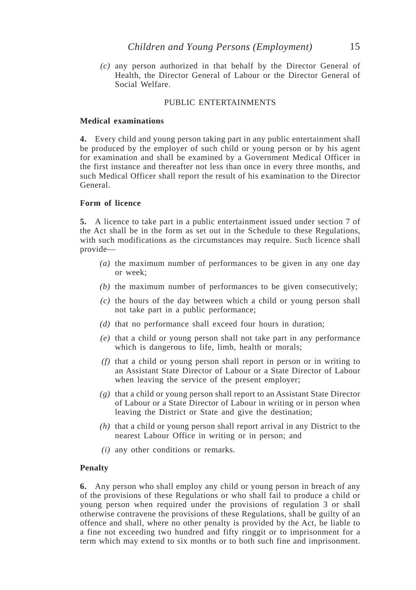*(c)* any person authorized in that behalf by the Director General of Health, the Director General of Labour or the Director General of Social Welfare.

#### PUBLIC ENTERTAINMENTS

#### **Medical examinations**

**4.** Every child and young person taking part in any public entertainment shall be produced by the employer of such child or young person or by his agent for examination and shall be examined by a Government Medical Officer in the first instance and thereafter not less than once in every three months, and such Medical Officer shall report the result of his examination to the Director General.

#### **Form of licence**

**5.** A licence to take part in a public entertainment issued under section 7 of the Act shall be in the form as set out in the Schedule to these Regulations, with such modifications as the circumstances may require. Such licence shall provide—

- *(a)* the maximum number of performances to be given in any one day or week;
- *(b)* the maximum number of performances to be given consecutively;
- *(c)* the hours of the day between which a child or young person shall not take part in a public performance;
- *(d)* that no performance shall exceed four hours in duration;
- *(e)* that a child or young person shall not take part in any performance which is dangerous to life, limb, health or morals;
- *(f)* that a child or young person shall report in person or in writing to an Assistant State Director of Labour or a State Director of Labour when leaving the service of the present employer;
- *(g)* that a child or young person shall report to an Assistant State Director of Labour or a State Director of Labour in writing or in person when leaving the District or State and give the destination;
- *(h)* that a child or young person shall report arrival in any District to the nearest Labour Office in writing or in person; and
- *(i)* any other conditions or remarks.

#### **Penalty**

**6.** Any person who shall employ any child or young person in breach of any of the provisions of these Regulations or who shall fail to produce a child or young person when required under the provisions of regulation 3 or shall otherwise contravene the provisions of these Regulations, shall be guilty of an offence and shall, where no other penalty is provided by the Act, be liable to a fine not exceeding two hundred and fifty ringgit or to imprisonment for a term which may extend to six months or to both such fine and imprisonment.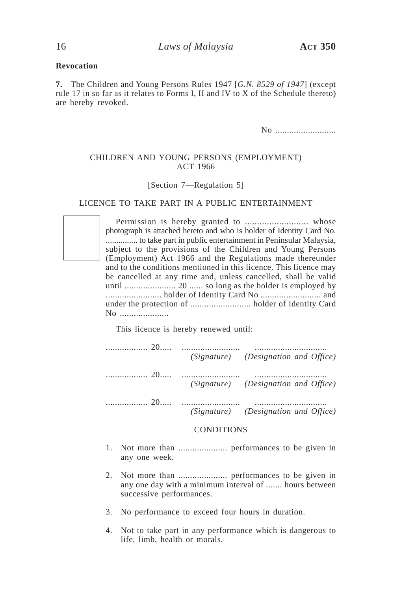### **Revocation**

**7.** The Children and Young Persons Rules 1947 [*G.N. 8529 of 1947*] (except rule 17 in so far as it relates to Forms I, II and IV to X of the Schedule thereto) are hereby revoked.

No ............................

### CHILDREN AND YOUNG PERSONS (EMPLOYMENT) ACT 1966

#### [Section 7—Regulation 5]

#### LICENCE TO TAKE PART IN A PUBLIC ENTERTAINMENT

Permission is hereby granted to .......................... whose photograph is attached hereto and who is holder of Identity Card No. ............... to take part in public entertainment in Peninsular Malaysia, subject to the provisions of the Children and Young Persons (Employment) Act 1966 and the Regulations made thereunder and to the conditions mentioned in this licence. This licence may be cancelled at any time and, unless cancelled, shall be valid until ...................... 20 ...... so long as the holder is employed by ........................ holder of Identity Card No .......................... and under the protection of .......................... holder of Identity Card No .....................

This licence is hereby renewed until:

|  | (Signature) (Designation and Office) |
|--|--------------------------------------|
|  | (Signature) (Designation and Office) |
|  | (Signature) (Designation and Office) |

#### **CONDITIONS**

- 1. Not more than ..................... performances to be given in any one week.
- 2. Not more than ..................... performances to be given in any one day with a minimum interval of ....... hours between successive performances.
- 3. No performance to exceed four hours in duration.
- 4. Not to take part in any performance which is dangerous to life, limb, health or morals.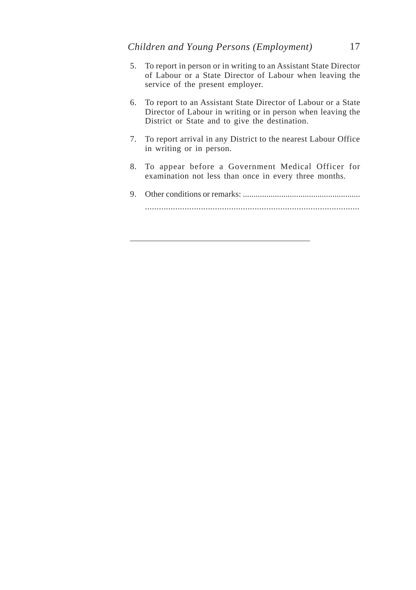- 5. To report in person or in writing to an Assistant State Director of Labour or a State Director of Labour when leaving the service of the present employer.
- 6. To report to an Assistant State Director of Labour or a State Director of Labour in writing or in person when leaving the District or State and to give the destination.
- 7. To report arrival in any District to the nearest Labour Office in writing or in person.
- 8. To appear before a Government Medical Officer for examination not less than once in every three months.
- 9. Other conditions or remarks: ....................................................... ............................................................................................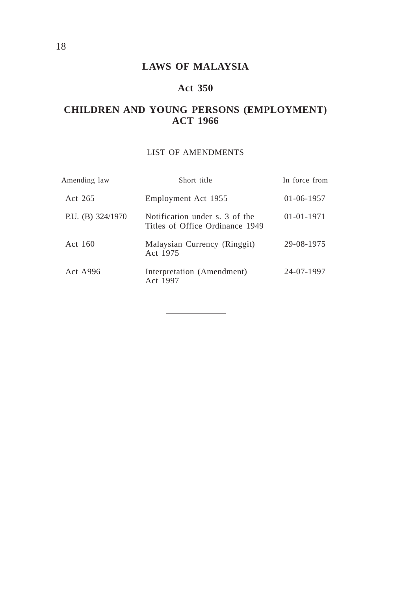# **Act 350**

# **CHILDREN AND YOUNG PERSONS (EMPLOYMENT) ACT 1966**

### LIST OF AMENDMENTS

| Amending law        | Short title                                                       | In force from    |
|---------------------|-------------------------------------------------------------------|------------------|
| Act 265             | Employment Act 1955                                               | $01-06-1957$     |
| P.U. (B) $324/1970$ | Notification under s. 3 of the<br>Titles of Office Ordinance 1949 | $01 - 01 - 1971$ |
| Act 160             | Malaysian Currency (Ringgit)<br>Act 1975                          | 29-08-1975       |
| <b>Act A996</b>     | Interpretation (Amendment)<br>Act 1997                            | 24-07-1997       |